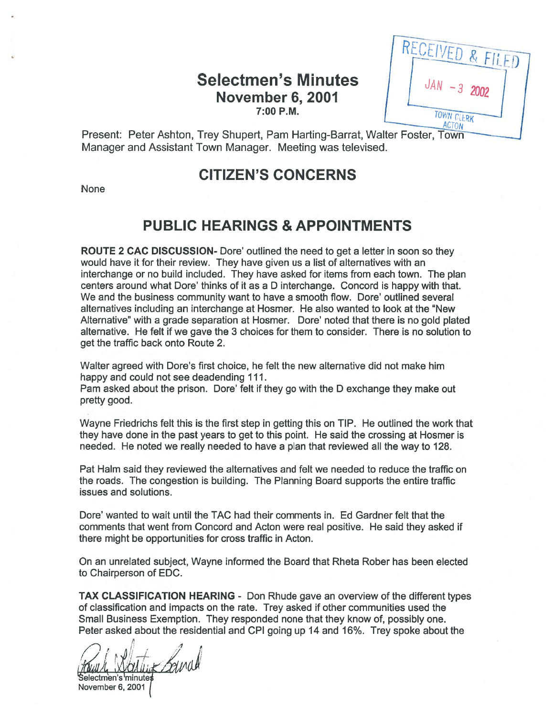## Selectmen's Minutes November 6, 2001 7:00 P.M.

RECEIVED & FILED TOWN CLERK ACTON

Present: Peter Ashton, Trey Shupert, Pam Harting-Barrat, Walter Foster, Town Manager and Assistant Town Manager. Meeting was televised.

## CITIZEN'S CONCERNS

None

## PUBLIC HEARINGS & APPOINTMENTS

ROUTE 2 CAC DISCUSSION- Dote' outlined the need to ge<sup>t</sup> <sup>a</sup> letter in soon so they would have it for their review. They have given us <sup>a</sup> list of alternatives with an interchange or no build included. They have asked for items from each town. The plan centers around what Dote' thinks of it as <sup>a</sup> D interchange. Concord is happy with that. We and the business community want to have a smooth flow. Dore' outlined several alternatives including an interchange at Hosmer. He also wanted to look at the "New Alternative" with <sup>a</sup> grade separation at Hosmer. Dote' noted that there is no gold plated alternative. He felt if we gave the 3 choices for them to consider. There is no solution to ge<sup>t</sup> the traffic back onto Route 2.

Walter agreed with Dore's first choice, he felt the new alternative did not make him happy and could not see deadending 111.

Pam asked about the prison. Dore' felt if they go with the D exchange they make out pretty good.

Wayne Friedrichs felt this is the first step in getting this on TIP. He outlined the work that they have done in the pas<sup>t</sup> years to ge<sup>t</sup> to this point. He said the crossing at Hosmer is needed. He noted we really needed to have <sup>a</sup> plan that reviewed all the way to 128.

Pat Haim said they reviewed the alternatives and felt we needed to reduce the traffic on the toads. The congestion is building. The Planning Board supports the entire traffic issues and solutions.

Dote' wanted to wait until the TAC had their comments in. Ed Gardner felt that the comments that went from Concord and Acton were teal positive. He said they asked if there might be opportunities for cross traffic in Acton.

On an unrelated subject, Wayne informed the Board that Rheta Rober has been elected to Chairperson of EDC.

TAX CLASSIFICATION HEARING - Don Rhude gave an overview of the different types of classification and impacts on the rate. Trey asked if other communities used the Small Business Exemption. They responded none that they know of, possibly one. Peter asked about the residential and CPI going up 14 and 16%. Trey spoke about the

Wolfut Sanda ielectmen's <sup>i</sup>minutes

November 6, 2001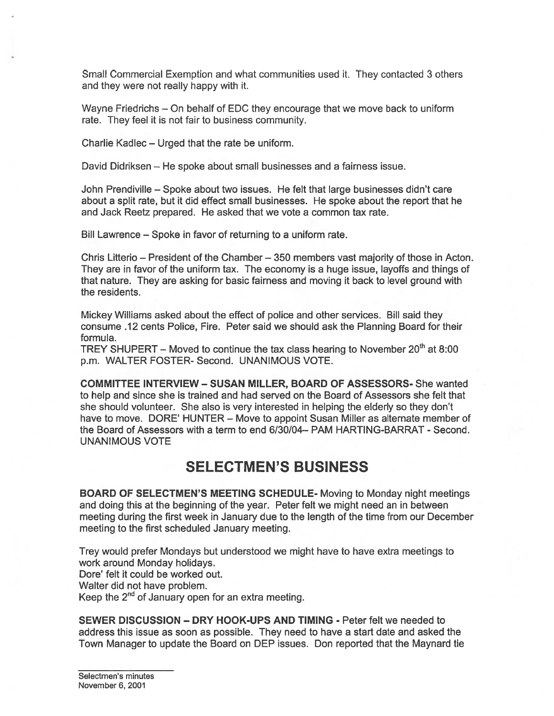Small Commercial Exemption and what communities used it. They contacted 3 others and they were not really happy with it.

Wayne Friedrichs — On behalf of EDC they encourage that we move back to uniform rate. They feel it is not fair to business community.

Charlie Kadlec — Urged that the rate be uniform.

David Didriksen — He spoke about small businesses and <sup>a</sup> fairness issue.

John Prendiville — Spoke about two issues. He felt that large businesses didn't care about <sup>a</sup> split rate, but it did effect small businesses. He spoke about the repor<sup>t</sup> that he and Jack Reetz prepared. He asked that we vote <sup>a</sup> common tax rate.

Bill Lawrence — Spoke in favor of returning to <sup>a</sup> uniform rate.

Chris Litterio — President of the Chamber — 350 members vast majority of those in Acton. They are in favor of the uniform tax. The economy is <sup>a</sup> huge issue, layoffs and things of that nature. They are asking for basic fairness and moving it back to level ground with the residents.

Mickey Williams asked about the effect of police and other services. Bill said they consume .12 cents Police, Fire. Peter said we should ask the Planning Board for their formula.

TREY SHUPERT – Moved to continue the tax class hearing to November  $20<sup>th</sup>$  at 8:00 p.m. WALTER FOSTER- Second. UNANIMOUS VOTE.

COMMITTEE INTERVIEW -SUSAN MILLER, BOARD OF ASSESSORS- She wanted to help and since she is trained and had served on the Board of Assessors she felt that she should volunteer. She also is very interested in helping the elderly so they don't have to move. DORE' HUNTER — Move to appoint Susan Miller as alternate member of the Board of Assessors with <sup>a</sup> term to end 6/30/04— PAM HARTING-BARRAT - Second. UNANIMOUS VOTE

## SELECTMEN'S BUSINESS

BOARD OF SELECTMEN'S MEETING SCHEDULE- Moving to Monday night meetings and doing this at the beginning of the year. Peter felt we might need an in between meeting during the first week in January due to the length of the time from our December meeting to the first scheduled January meeting.

Trey would prefer Mondays but understood we might have to have extra meetings to work around Monday holidays.

Dore' felt it could be worked out.

Walter did not have problem.

Keep the  $2^{nd}$  of January open for an extra meeting.

SEWER DISCUSSION — DRY HOOK-UPS AND TIMING - Peter felt we needed to address this issue as soon as possible. They need to have <sup>a</sup> start date and asked the Town Manager to update the Board on DEP issues. Don reported that the Maynard tie

Selectmen's minutes November 6, 2001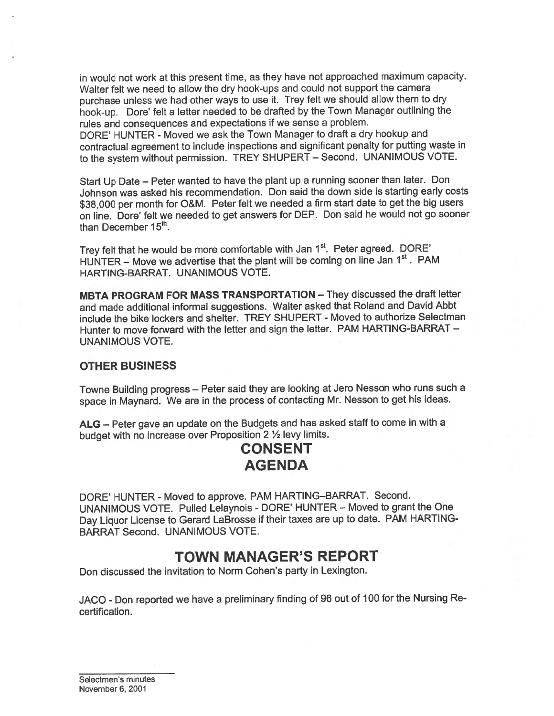in would not work at this presen<sup>t</sup> time, as they have not approached maximum capacity. Walter felt we need to allow the dry hook-ups and could not suppor<sup>t</sup> the camera purchase unless we had other ways to use it. Trey felt we should allow them to dry hook-up. Dore' felt <sup>a</sup> letter needed to be drafted by the Town Manager outlining the rules and consequences and expectations if we sense <sup>a</sup> problem.

DORE' HUNTER - Moved we ask the Town Manager to draft <sup>a</sup> dry hookup and contractual agreemen<sup>t</sup> to include inspections and significant penalty for putting waste in to the system without permission. TREY SHUPERT — Second. UNANIMOUS VOTE.

Start Up Date — Peter wanted to have the <sup>p</sup>lant up <sup>a</sup> running sooner than later. Don Johnson was asked his recommendation. Don said the down side is starting early costs \$38,000 per month for O&M. Peter felt we needed <sup>a</sup> firm start date to ge<sup>t</sup> the big users on line. Dore' felt we needed to ge<sup>t</sup> answers for DEP. Don said he would not go sooner than December 15<sup>th</sup>.

Trey felt that he would be more comfortable with Jan 1<sup>st</sup>. Peter agreed. DORE' HUNTER – Move we advertise that the plant will be coming on line Jan  $1^{st}$ . PAM HARTING-BARRAT. UNANIMOUS VOTE.

MBTA PROGRAM FOR MASS TRANSPORTATION — They discussed the draft letter and made additional informal suggestions. Walter asked that Roland and David Abbt include the bike lockers and shelter. TREY SHUPERT - Moved to authorize Selectman Hunter to move forward with the letter and sign the letter. PAM HARTING-BARRAT — UNANIMOUS VOTE.

### OTHER BUSINESS

Towne Building progress — Peter said they are looking at Jero Nesson who runs such <sup>a</sup> space in Maynard. We are in the process of contacting Mr. Nesson to ge<sup>t</sup> his ideas.

ALG — Peter gave an update on the Budgets and has asked staff to come in with <sup>a</sup> budget with no increase over Proposition  $2 \frac{1}{2}$  levy limits.

# CONSENT AGENDA

DORE' HUNTER - Moved to approve. PAM HARTING—BARRAT. Second. UNANIMOUS VOTE. Pulled Lelaynois - DORE' HUNTER — Moved to gran<sup>t</sup> the One Day Liquor License to Gerard LaBrosse if their taxes are up to date. PAM HARTING BARRAT Second. UNANIMOUS VOTE.

# TOWN MANAGER'S REPORT

Don discussed the invitation to Norm Cohen's party in Lexington.

JACO - Don reported we have <sup>a</sup> preliminary finding of <sup>96</sup> out of <sup>100</sup> for the Nursing Re certification.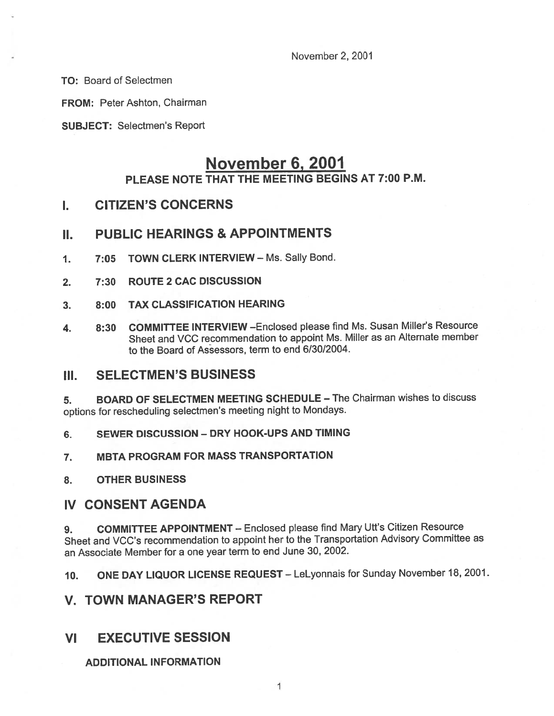November 2, 2001

TO: Board of Selectmen

FROM: Peter Ashton, Chairman

SUBJECT: Selectmen's Report

# November 6, 2001 PLEASE NOTE THAT THE MEETING BEGINS AT 7:00 P.M.

### I. CITIZEN'S CONCERNS

### II. PUBLIC HEARINGS & APPOINTMENTS

- 1. 7:05 TOWN CLERK INTERVIEW— Ms. Sally Bond.
- 2. 7:30 ROUTE 2 CAC DISCUSSION
- 3. 8:00 TAX CLASSIFICATION HEARING
- 4. 8:30 COMMITTEE INTERVIEW Enclosed please find Ms. Susan Miller's Resource Sheet and VCC recommendation to appoint Ms. Miller as an Alternate member to the Board of Assessors, term to end 6/30/2004.

### III. SELECTMEN'S BUSINESS

5. BOARD OF SELECTMEN MEETING SCHEDULE — The Chairman wishes to discuss options for rescheduling selectmen's meeting night to Mondays.

- 6. SEWER DISCUSSION DRY HOOK-UPS AND TIMING
- 7. MBTA PROGRAM FOR MASS TRANSPORTATION
- 8. OTHER BUSINESS

## IV CONSENT AGENDA

9. COMMITTEE APPOINTMENT - Enclosed please find Mary Utt's Citizen Resource Sheet and VCC's recommendation to appoint her to the Transportation Advisory Committee as an Associate Member for <sup>a</sup> one year term to end June 30, 2002.

10. ONE DAY LIQUOR LICENSE REQUEST — LeLyonnais for Sunday November 18, 2001.

## V. TOWN MANAGER'S REPORT

## VI EXECUTIVE SESSION

### ADDITIONAL INFORMATION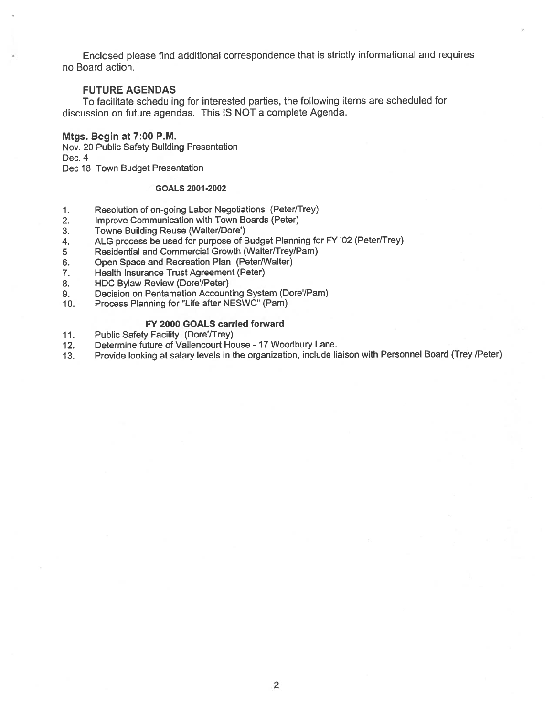Enclosed <sup>p</sup>lease find additional correspondence that is strictly informational and requires no Board action.

### FUTURE AGENDAS

To facilitate scheduling for interested parties, the following items are scheduled for discussion on future agendas. This IS NOT <sup>a</sup> complete Agenda.

### Mtgs. Begin at 7:00 P.M.

Nov. 20 Public Safety Building Presentation Dec. 4

Dec 18 Town Budget Presentation

### GOALS 2001-2002

- 1. Resolution of on-going Labor Negotiations (Peter/Trey)
- 2. Improve Communication with Town Boards (Peter)
- 3. Towne Building Reuse (Walter/Dore')
- 4. ALG process be used for purpose of Budget Planning for FY '02 (Peter/Trey)
- 5 Residential and Commercial Growth (Walter/Trey/Pam)
- 6. Open Space and Recreation Plan (Peter/Walter)
- 7. Health Insurance Trust Agreement (Peter)
- 8. HDC Bylaw Review (Dore'/Peter)
- 9. Decision on Pentamation Accounting System (Dore'/Pam)
- 10. Process Planning for "Life after NESWC" (Pam)

#### FY 2000 GOALS carried forward

- 11. Public Safety Facility (Dore'/Trey)
- 12. Determine future of Vallencourt House 17 Woodbury Lane.
- 13. Provide looking at salary levels in the organization, include liaison with Personnel Board (Trey /Peter)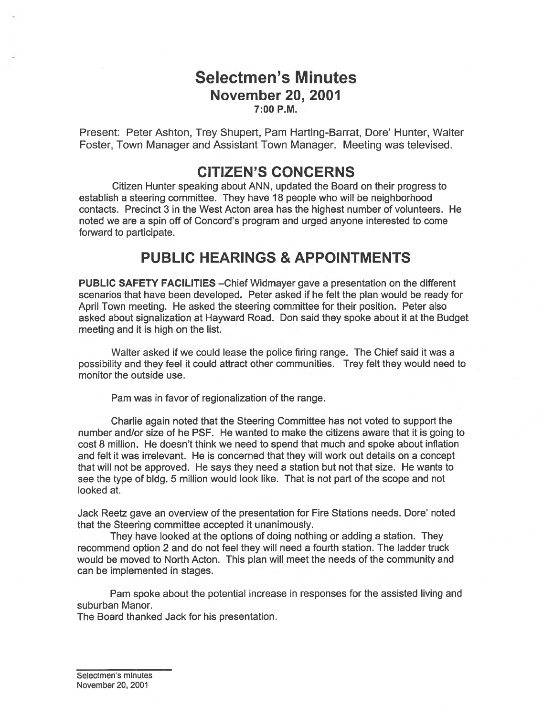## Selectmen's Minutes November 20, 2001 7:00 P.M.

Present: Peter Ashton, Trey Shupert, Pam Harting-Barrat, Dote' Hunter, Walter Foster, Town Manager and Assistant Town Manager. Meeting was televised.

# CITIZEN'S CONCERNS

Citizen Hunter speaking about ANN, updated the Board on their progress to establish <sup>a</sup> steering committee. They have 18 people who will be neighborhood contacts. Precinct 3 in the West Acton area has the highest number of volunteers. He noted we are <sup>a</sup> spin off of Concord's program and urged anyone interested to come forward to participate.

# PUBLIC HEARINGS & APPOINTMENTS

PUBLIC SAFETY FACILITIES —Chief Widmayer gave <sup>a</sup> presentation on the different scenarios that have been developed. Peter asked if he felt the plan would be ready for April Town meeting. He asked the steering committee for their position. Peter also asked about signalization at Hayward Road. Don said they spoke about it at the Budget meeting and it is high on the list.

Walter asked if we could lease the police firing range. The Chief said it was <sup>a</sup> possibility and they feel it could attract other communities. Trey felt they would need to monitor the outside use.

Pam was in favor of regionalization of the range.

Charlie again noted that the Steering Committee has not voted to suppor<sup>t</sup> the number and/or size of he PSF. He wanted to make the citizens aware that it is going to cost 8 million. He doesn't think we need to spend that much and spoke about inflation and felt it was irrelevant. He is concerned that they will work out details on <sup>a</sup> concep<sup>t</sup> that will not be approved. He says they need <sup>a</sup> station but not that size. He wants to see the type of bldg. 5 million would look like. That is not par<sup>t</sup> of the scope and not looked at.

Jack Reetz gave an overview of the presentation for Fire Stations needs. Dore' noted that the Steering committee accepted it unanimously.

They have looked at the options of doing nothing or adding <sup>a</sup> station. They recommend option 2 and do not feel they will need <sup>a</sup> fourth station. The ladder truck would be moved to North Acton. This plan will meet the needs of the community and can be implemented in stages.

Pam spoke about the potential increase in responses for the assisted living and suburban Manor.

The Board thanked Jack for his presentation.

Selectmen's minutes November 20, 2001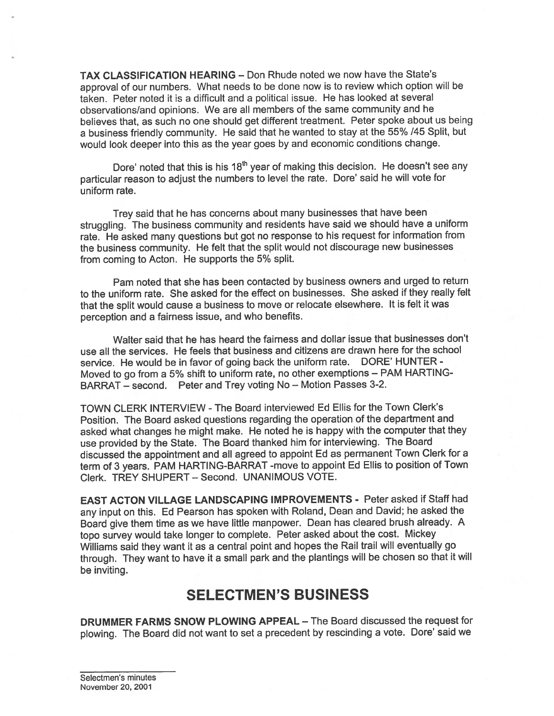TAX CLASSIFICATION HEARING — Don Rhude noted we now have the State's approva<sup>l</sup> of our numbers. What needs to be done now is to review which option will be taken. Peter noted it is <sup>a</sup> difficult and <sup>a</sup> political issue. He has looked at several observations/and opinions. We are all members of the same community and he believes that, as such no one should ge<sup>t</sup> different treatment. Peter spoke about us being <sup>a</sup> business friendly community. He said that he wanted to stay at the 55% /45 Split, but would look deeper into this as the year goes by and economic conditions change.

Dore' noted that this is his  $18<sup>th</sup>$  year of making this decision. He doesn't see any particular reason to adjust the numbers to level the rate. Dore' said he will vote for uniform rate.

Trey said that he has concerns about many businesses that have been struggling. The business community and residents have said we should have <sup>a</sup> uniform rate. He asked many questions but go<sup>t</sup> no response to his reques<sup>t</sup> for information from the business community. He felt that the split would not discourage new businesses from coming to Acton. He supports the 5% split.

Pam noted that she has been contacted by business owners and urged to return to the uniform rate. She asked for the effect on businesses. She asked if they really felt that the split would cause <sup>a</sup> business to move or relocate elsewhere. It is felt it was perception and <sup>a</sup> fairness issue, and who benefits.

Walter said that he has heard the fairness and dollar issue that businesses don't use all the services. He feels that business and citizens are drawn here for the school service. He would be in favor of going back the uniform rate. DORE' HUNTER - Moved to go from <sup>a</sup> 5% shift to uniform rate, no other exemptions — PAM HARTING BARRAT — second. Peter and Trey voting No — Motion Passes 3-2.

TOWN CLERK INTERVIEW -The Board interviewed Ed Ellis for the Town Clerk's Position. The Board asked questions regarding the operation of the department and asked what changes he might make. He noted he is happy with the computer that they use provided by the State. The Board thanked him for interviewing. The Board discussed the appointment and all agree<sup>d</sup> to appoint Ed as permanen<sup>t</sup> Town Clerk for <sup>a</sup> term of <sup>3</sup> years. PAM HARTING-BARRAT -move to appoint Ed Ellis to position of Town Clerk. TREY SHUPERT — Second. UNANIMOUS VOTE.

EAST ACTON VILLAGE LANDSCAPING IMPROVEMENTS - Peter asked if Staff had any input on this. Ed Pearson has spoken with Roland, Dean and David; he asked the Board <sup>g</sup>ive them time as we have little manpower. Dean has cleared brush already. <sup>A</sup> topo survey would take longer to complete. Peter asked about the cost. Mickey Williams said they want it as <sup>a</sup> central point and hopes the Rail trail will eventually go through. They want to have it <sup>a</sup> small par<sup>k</sup> and the <sup>p</sup>lantings will be chosen so that it will be inviting.

## SELECTMEN'S BUSINESS

DRUMMER FARMS SNOW PLOWING APPEAL — The Board discussed the reques<sup>t</sup> for <sup>p</sup>lowing. The Board did not want to set <sup>a</sup> precedent by rescinding <sup>a</sup> vote. Dore' said we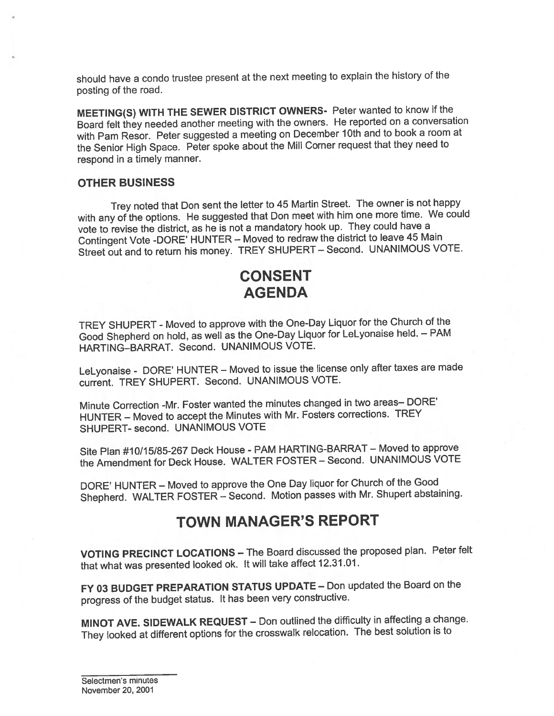should have <sup>a</sup> condo trustee presen<sup>t</sup> at the next meeting to explain the history of the posting of the road.

MEETING(S) WITH THE SEWER DISTRICT OWNERS- Peter wanted to know if the Board felt they needed another meeting with the owners. He reported on <sup>a</sup> conversation with Pam Resor. Peter suggested <sup>a</sup> meeting on December 10th and to book <sup>a</sup> room at the Senior High Space. Peter spoke about the Mill Corner reques<sup>t</sup> that they need to respond in <sup>a</sup> timely manner.

### OTHER BUSINESS

Trey noted that Don sent the letter to <sup>45</sup> Martin Street. The owner is not happy with any of the options. He suggested that Don meet with him one more time. We could vote to revise the district, as he is not <sup>a</sup> mandatory hook up. They could have <sup>a</sup> Contingent Vote -DORE' HUNTER — Moved to redraw the district to leave <sup>45</sup> Main Street out and to return his money. TREY SHUPERT — Second. UNANIMOUS VOTE.

# CONSENT AGENDA

TREY SHUPERT - Moved to approve with the One-Day Liquor for the Church of the Good Shepherd on hold, as well as the One-Day Liquor for LeLyonaise held. — PAM HARTING-BARRAT. Second. UNANIMOUS VOTE.

LeLyonaise - DORE' HUNTER — Moved to issue the license only after taxes are made current. TREY SHUPERT. Second. UNANIMOUS VOTE.

Minute Correction -Mr. Foster wanted the minutes changed in two areas— DORE' HUNTER — Moved to accep<sup>t</sup> the Minutes with Mr. Fosters corrections. TREY SHUPERT- second. UNANIMOUS VOTE

Site Plan #10/15/85-267 Deck House - PAM HARTING-BARRAT — Moved to approve the Amendment for Deck House. WALTER FOSTER — Second. UNANIMOUS VOTE

DORE' HUNTER — Moved to approve the One Day liquor for Church of the Good Shepherd. WALTER FOSTER — Second. Motion passes with Mr. Shupert abstaining.

# TOWN MANAGER'S REPORT

VOTING PRECINCT LOCATIONS — The Board discussed the propose<sup>d</sup> <sup>p</sup>lan. Peter felt that what was presented looked ok. It will take affect 12.31.01.

FY 03 BUDGET PREPARATION STATUS UPDATE - Don updated the Board on the progress of the budget status. It has been very constructive.

MINOT AVE. SIDEWALK REQUEST — Don outlined the difficulty in affecting <sup>a</sup> change. They looked at different options for the crosswalk relocation. The best solution is to